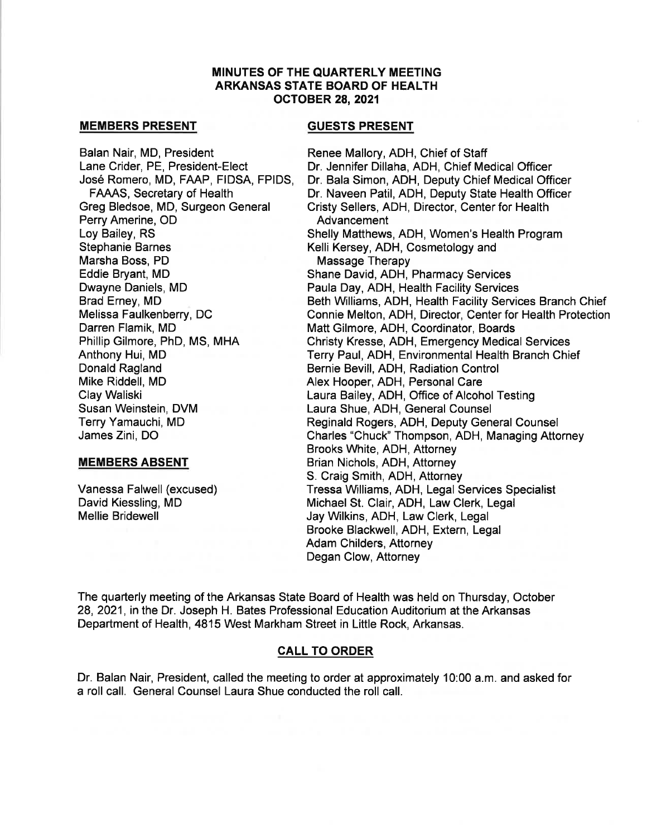### **MINUTES OF THE QUARTERLY MEETING ARKANSAS STATE BOARD OF HEALTH OCTOBER 28, 2021**

#### **MEMBERS PRESENT**

Balan Nair, MD, President Lane Crider, PE, President-Elect José Romero, MD, FAAP, FIDSA, FPIDS, **FAAAS.** Secretary of Health Greg Bledsoe, MD, Surgeon General Perry Amerine, OD Lov Bailey, RS **Stephanie Barnes** Marsha Boss, PD Eddie Bryant, MD Dwayne Daniels, MD Brad Erney, MD Melissa Faulkenberry, DC Darren Flamik, MD Phillip Gilmore, PhD, MS, MHA Anthony Hui, MD Donald Ragland Mike Riddell, MD Clay Waliski Susan Weinstein, DVM Terry Yamauchi, MD James Zini, DO

## **MEMBERS ABSENT**

Vanessa Falwell (excused) David Kiessling, MD **Mellie Bridewell** 

## **GUESTS PRESENT**

Renee Mallory, ADH. Chief of Staff Dr. Jennifer Dillaha, ADH, Chief Medical Officer Dr. Bala Simon, ADH, Deputy Chief Medical Officer Dr. Naveen Patil, ADH. Deputy State Health Officer Cristy Sellers, ADH. Director, Center for Health Advancement Shelly Matthews, ADH, Women's Health Program Kelli Kersey, ADH, Cosmetology and Massage Therapy Shane David, ADH, Pharmacy Services Paula Day, ADH, Health Facility Services Beth Williams, ADH, Health Facility Services Branch Chief Connie Melton, ADH, Director, Center for Health Protection Matt Gilmore, ADH, Coordinator, Boards Christy Kresse, ADH, Emergency Medical Services Terry Paul, ADH, Environmental Health Branch Chief Bernie Bevill, ADH, Radiation Control Alex Hooper, ADH, Personal Care Laura Bailey, ADH, Office of Alcohol Testing Laura Shue, ADH, General Counsel Reginald Rogers, ADH, Deputy General Counsel Charles "Chuck" Thompson, ADH, Managing Attorney Brooks White, ADH, Attorney Brian Nichols, ADH, Attorney S. Craig Smith, ADH, Attorney Tressa Williams, ADH, Legal Services Specialist Michael St. Clair, ADH, Law Clerk, Legal Jay Wilkins, ADH, Law Clerk, Legal Brooke Blackwell, ADH, Extern, Legal **Adam Childers, Attorney** Degan Clow, Attorney

The quarterly meeting of the Arkansas State Board of Health was held on Thursday, October 28, 2021, in the Dr. Joseph H. Bates Professional Education Auditorium at the Arkansas Department of Health, 4815 West Markham Street in Little Rock, Arkansas.

## **CALL TO ORDER**

Dr. Balan Nair, President, called the meeting to order at approximately 10:00 a.m. and asked for a roll call. General Counsel Laura Shue conducted the roll call.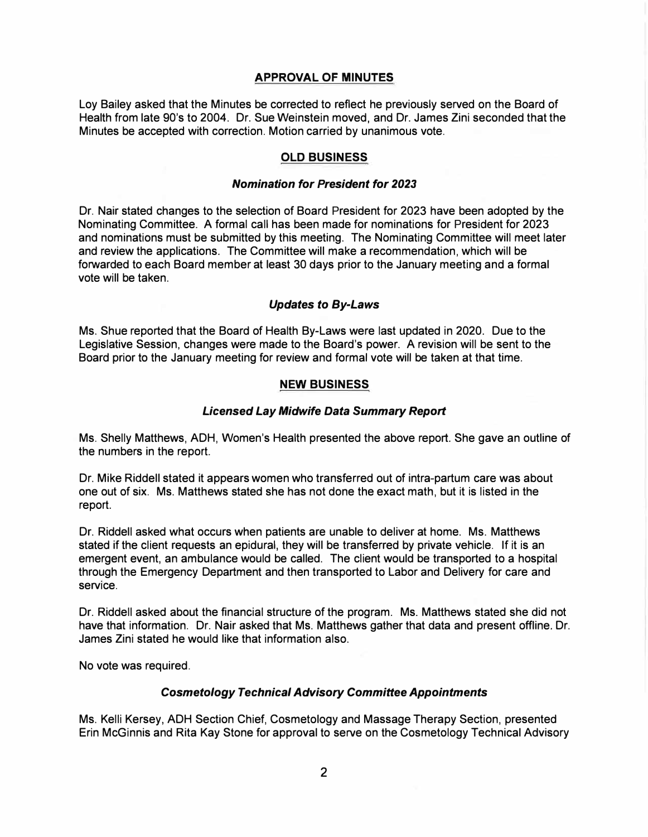## **APPROVAL OF MINUTES**

Loy Bailey asked that the Minutes be corrected to reflect he previously served on the Board of Health from late 90's to 2004. Dr. Sue Weinstein moved, and Dr. James Zini seconded that the Minutes be accepted with correction. Motion carried by unanimous vote.

## **OLD BUSINESS**

#### *Nomination for President for 2023*

Dr. Nair stated changes to the selection of Board President for 2023 have been adopted by the Nominating Committee. A formal call has been made for nominations for President for 2023 and nominations must be submitted by this meeting. The Nominating Committee will meet later and review the applications. The Committee will make a recommendation, which will be forwarded to each Board member at least 30 days prior to the January meeting and a formal vote will be taken.

## *Updates to By-Laws*

Ms. Shue reported that the Board of Health By-Laws were last updated in 2020. Due to the Legislative Session, changes were made to the Board's power. A revision will be sent to the Board prior to the January meeting for review and formal vote will be taken at that time.

#### **NEW BUSINESS**

#### *Licensed Lay Midwife Data Summary Report*

Ms. Shelly Matthews, ADH, Women's Health presented the above report. She gave an outline of the numbers in the report.

Dr. Mike Riddell stated it appears women who transferred out of intra-partum care was about one out of six. Ms. Matthews stated she has not done the exact math, but it is listed in the report.

Dr. Riddell asked what occurs when patients are unable to deliver at home. Ms. Matthews stated if the client requests an epidural, they will be transferred by private vehicle. If it is an emergent event, an ambulance would be called. The client would be transported to a hospital through the Emergency Department and then transported to Labor and Delivery for care and service.

Dr. Riddell asked about the financial structure of the program. Ms. Matthews stated she did not have that information. Dr. Nair asked that Ms. Matthews gather that data and present offline. Dr. James Zini stated he would like that information also.

No vote was required.

## *Cosmetology Technical Advisory Committee Appointments*

Ms. Kelli Kersey, ADH Section Chief, Cosmetology and Massage Therapy Section, presented Erin McGinnis and Rita Kay Stone for approval to serve on the Cosmetology Technical Advisory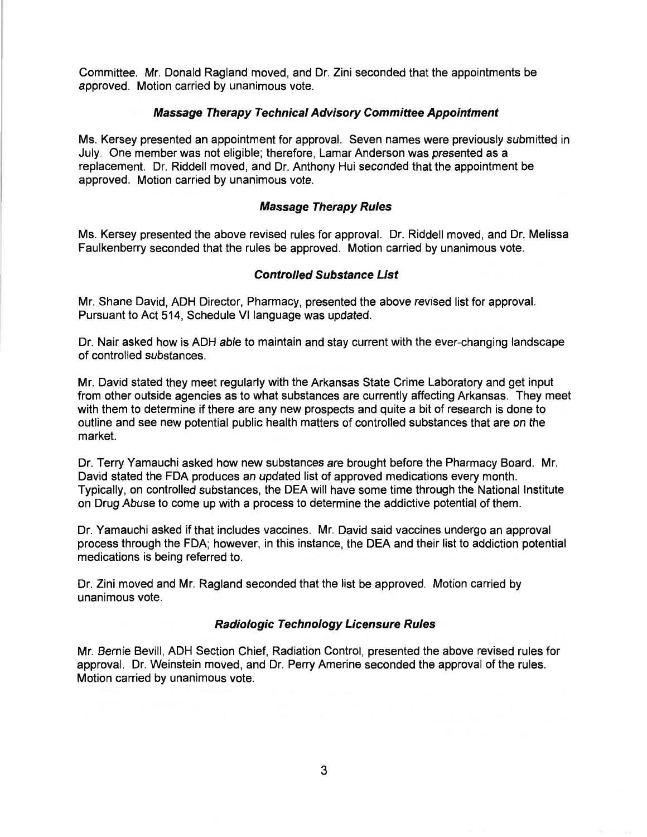Committee. Mr. Donald Ragland moved, and Dr. Zini seconded that the appointments be approved. Motion carried by unanimous vote.

#### **Massage Therapy Technical Advisory Committee Appointment**

Ms. Kersey presented an appointment for approval. Seven names were previously submitted in July. One member was not eligible; therefore, Lamar Anderson was presented as a replacement. Dr. Riddell moved, and Dr. Anthony Hui seconded that the appointment be approved. Motion carried by unanimous vote.

#### **Massage Therapy Rules**

Ms. Kersey presented the above revised rules for approval. Dr. Riddell moved, and Dr. Melissa Faulkenberry seconded that the rules be approved. Motion carried by unanimous vote.

#### **Controlled Substance List**

Mr. Shane David, ADH Director, Pharmacy, presented the above revised list for approval. Pursuant to Act 514, Schedule VI language was updated.

Dr. Nair asked how is ADH able to maintain and stay current with the ever-changing landscape of controlled substances.

Mr. David stated they meet regularly with the Arkansas State Crime Laboratory and get input from other outside agencies as to what substances are currently affecting Arkansas. They meet with them to determine if there are any new prospects and quite a bit of research is done to outline and see new potential public health matters of controlled substances that are on the market.

Dr. Terry Yamauchi asked how new substances are brought before the Pharmacy Board. Mr. David stated the FDA produces an updated list of approved medications every month. Typically, on controlled substances, the DEA will have some time through the National Institute on Drug Abuse to come up with a process to determine the addictive potential of them.

Dr. Yamauchi asked if that includes vaccines. Mr. David said vaccines undergo an approval process through the FDA; however, in this instance, the DEA and their list to addiction potential medications is being referred to.

Dr. Zini moved and Mr. Ragland seconded that the list be approved. Motion carried by unanimous vote.

#### **Radiologic Technology Licensure Rules**

Mr. Bernie Bevill, ADH Section Chief, Radiation Control, presented the above revised rules for approval. Dr. Weinstein moved, and Dr. Perry Amerine seconded the approval of the rules. Motion carried by unanimous vote.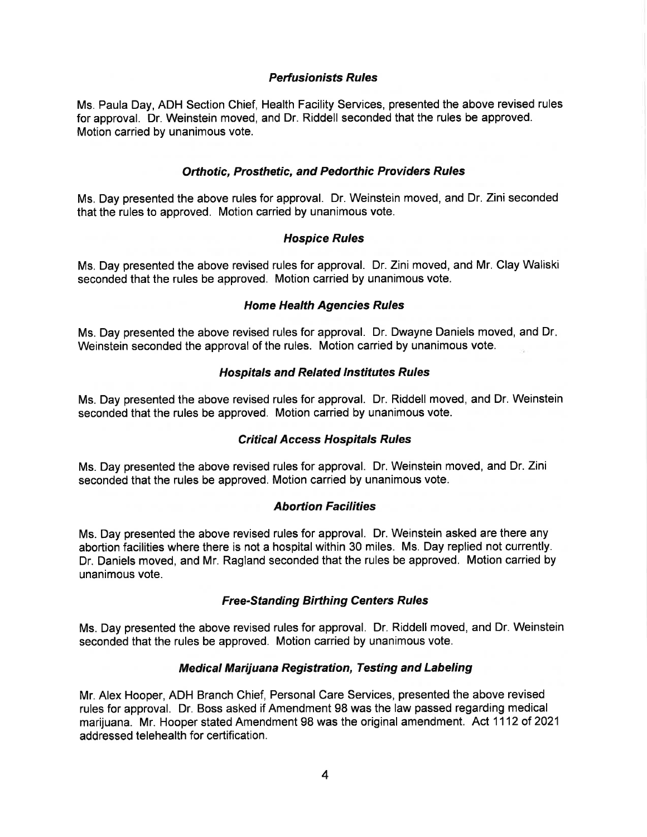## **Perfusionists Rules**

Ms. Paula Day, ADH Section Chief, Health Facility Services, presented the above revised rules for approval. Dr. Weinstein moved, and Dr. Riddell seconded that the rules be approved. Motion carried by unanimous vote.

## **Orthotic. Prosthetic. and Pedorthic Providers Rules**

Ms. Day presented the above rules for approval. Dr. Weinstein moved, and Dr. Zini seconded that the rules to approved. Motion carried by unanimous vote.

## **Hospice Rules**

Ms. Day presented the above revised rules for approval. Dr. Zini moved, and Mr. Clay Waliski seconded that the rules be approved. Motion carried by unanimous vote.

## **Home Health Agencies Rules**

Ms. Day presented the above revised rules for approval. Dr. Dwayne Daniels moved, and Dr. Weinstein seconded the approval of the rules. Motion carried by unanimous vote.

## **Hospitals and Related Institutes Rules**

Ms. Day presented the above revised rules for approval. Dr. Riddell moved, and Dr. Weinstein seconded that the rules be approved. Motion carried by unanimous vote.

# **Critical Access Hospitals Rules**

Ms. Day presented the above revised rules for approval. Dr. Weinstein moved, and Dr. Zini seconded that the rules be approved. Motion carried by unanimous vote.

## **Abortion Facilities**

Ms. Day presented the above revised rules for approval. Dr. Weinstein asked are there any abortion facilities where there is not a hospital within 30 miles. Ms. Day replied not currently. Dr. Daniels moved, and Mr. Ragland seconded that the rules be approved. Motion carried by unanimous vote.

## **Free-Standing Birthing Centers Rules**

Ms. Day presented the above revised rules for approval. Dr. Riddell moved, and Dr. Weinstein seconded that the rules be approved. Motion carried by unanimous vote.

# **Medical Marijuana Registration, Testing and Labeling**

Mr. Alex Hooper, ADH Branch Chief, Personal Care Services, presented the above revised rules for approval. Dr. Boss asked if Amendment 98 was the law passed regarding medical marijuana. Mr. Hooper stated Amendment 98 was the original amendment. Act 1112 of 2021 addressed telehealth for certification.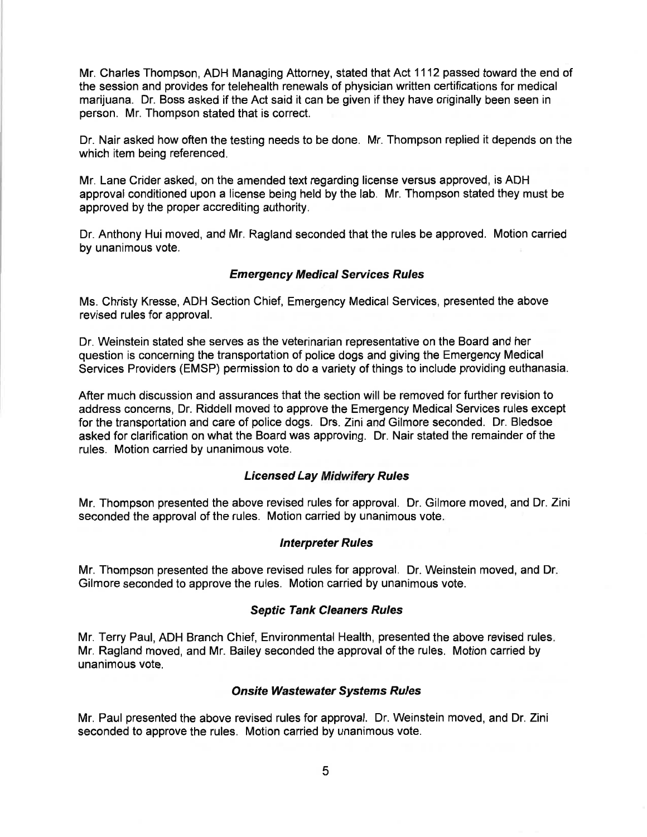Mr. Charles Thompson, ADH Managing Attorney, stated that Act 1112 passed toward the end of the session and provides for telehealth renewals of physician written certifications for medical marijuana. Dr. Boss asked if the Act said it can be given if they have originally been seen in person. Mr. Thompson stated that is correct.

Dr. Nair asked how often the testing needs to be done. Mr. Thompson replied it depends on the which item being referenced.

Mr. Lane Crider asked, on the amended text regarding license versus approved, is ADH approval conditioned upon a license being held by the lab. Mr. Thompson stated they must be approved by the proper accrediting authority.

Dr. Anthony Hui moved, and Mr. Ragland seconded that the rules be approved. Motion carried by unanimous vote.

## **Emergency Medical Services Rules**

Ms. Christy Kresse, ADH Section Chief, Emergency Medical Services, presented the above revised rules for approval.

Dr. Weinstein stated she serves as the veterinarian representative on the Board and her question is concerning the transportation of police dogs and giving the Emergency Medical Services Providers (EMSP) permission to do a variety of things to include providing euthanasia.

After much discussion and assurances that the section will be removed for further revision to address concerns, Dr. Riddell moved to approve the Emergency Medical Services rules except for the transportation and care of police dogs. Drs. Zini and Gilmore seconded. Dr. Bledsoe asked for clarification on what the Board was approving. Dr. Nair stated the remainder of the rules. Motion carried by unanimous vote.

#### **Licensed Lay Midwifery Rules**

Mr. Thompson presented the above revised rules for approval. Dr. Gilmore moved, and Dr. Zini seconded the approval of the rules. Motion carried by unanimous vote.

#### **Interpreter Rules**

Mr. Thompson presented the above revised rules for approval. Dr. Weinstein moved, and Dr. Gilmore seconded to approve the rules. Motion carried by unanimous vote.

#### **Septic Tank Cleaners Rules**

Mr. Terry Paul, ADH Branch Chief, Environmental Health, presented the above revised rules. Mr. Ragland moved, and Mr. Bailey seconded the approval of the rules. Motion carried by unanimous vote.

#### **Onsite Wastewater Systems Rules**

Mr. Paul presented the above revised rules for approval. Dr. Weinstein moved, and Dr. Zini seconded to approve the rules. Motion carried by unanimous vote.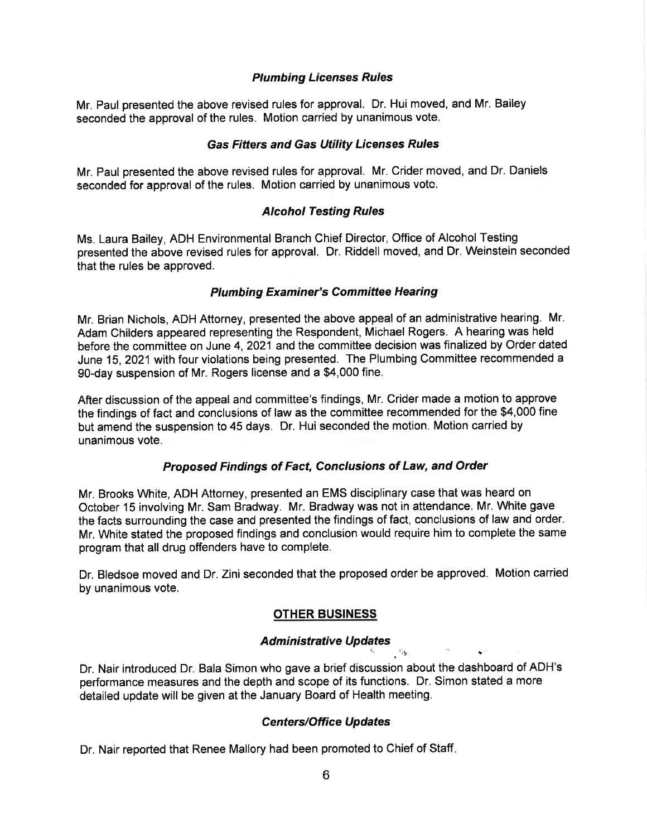## **Plumbing Licenses Rules**

Mr. Paul presented the above revised rules for approval. Dr. Hui moved, and Mr. Bailey seconded the approval of the rules. Motion carried by unanimous vote.

## **Gas Fitters and Gas Utility Licenses Rules**

Mr. Paul presented the above revised rules for approval. Mr. Crider moved, and Dr. Daniels seconded for approval of the rules. Motion carried by unanimous vote.

## **Alcohol Testing Rules**

Ms. Laura Bailey, ADH Environmental Branch Chief Director, Office of Alcohol Testing presented the above revised rules for approval. Dr. Riddell moved, and Dr. Weinstein seconded that the rules be approved.

## **Plumbing Examiner's Committee Hearing**

Mr. Brian Nichols, ADH Attorney, presented the above appeal of an administrative hearing. Mr. Adam Childers appeared representing the Respondent, Michael Rogers. A hearing was held before the committee on June 4, 2021 and the committee decision was finalized by Order dated June 15, 2021 with four violations being presented. The Plumbing Committee recommended a 90-day suspension of Mr. Rogers license and a \$4,000 fine.

After discussion of the appeal and committee's findings, Mr. Crider made a motion to approve the findings of fact and conclusions of law as the committee recommended for the \$4,000 fine but amend the suspension to 45 days. Dr. Hui seconded the motion. Motion carried by unanimous vote.

# Proposed Findings of Fact, Conclusions of Law, and Order

Mr. Brooks White, ADH Attorney, presented an EMS disciplinary case that was heard on October 15 involving Mr. Sam Bradway. Mr. Bradway was not in attendance. Mr. White gave the facts surrounding the case and presented the findings of fact, conclusions of law and order. Mr. White stated the proposed findings and conclusion would require him to complete the same program that all drug offenders have to complete.

Dr. Bledsoe moved and Dr. Zini seconded that the proposed order be approved. Motion carried by unanimous vote.

# **OTHER BUSINESS**

# **Administrative Updates**

 $\cdot$   $\cdot$   $\cdot$ 

Dr. Nair introduced Dr. Bala Simon who gave a brief discussion about the dashboard of ADH's performance measures and the depth and scope of its functions. Dr. Simon stated a more detailed update will be given at the January Board of Health meeting.

# **Centers/Office Updates**

Dr. Nair reported that Renee Mallory had been promoted to Chief of Staff.